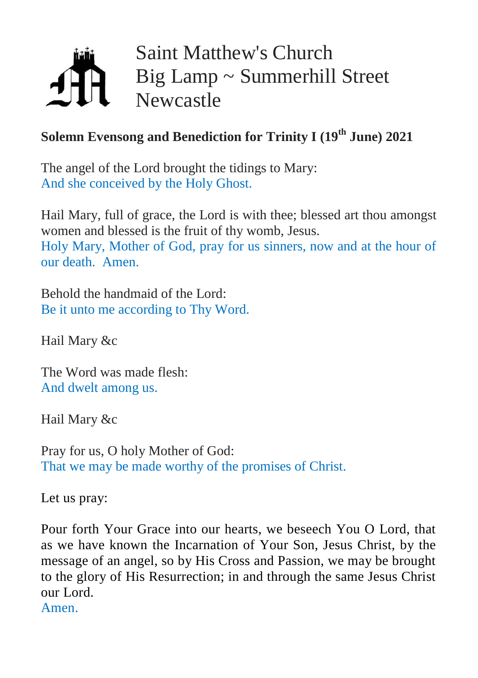

# **Solemn Evensong and Benediction for Trinity I (19 th June) 2021**

The angel of the Lord brought the tidings to Mary: And she conceived by the Holy Ghost.

Hail Mary, full of grace, the Lord is with thee; blessed art thou amongst women and blessed is the fruit of thy womb, Jesus. Holy Mary, Mother of God, pray for us sinners, now and at the hour of our death. Amen.

Behold the handmaid of the Lord: Be it unto me according to Thy Word.

Hail Mary &c

The Word was made flesh: And dwelt among us.

Hail Mary &c

Pray for us, O holy Mother of God: That we may be made worthy of the promises of Christ.

Let us pray:

Pour forth Your Grace into our hearts, we beseech You O Lord, that as we have known the Incarnation of Your Son, Jesus Christ, by the message of an angel, so by His Cross and Passion, we may be brought to the glory of His Resurrection; in and through the same Jesus Christ our Lord.

Amen.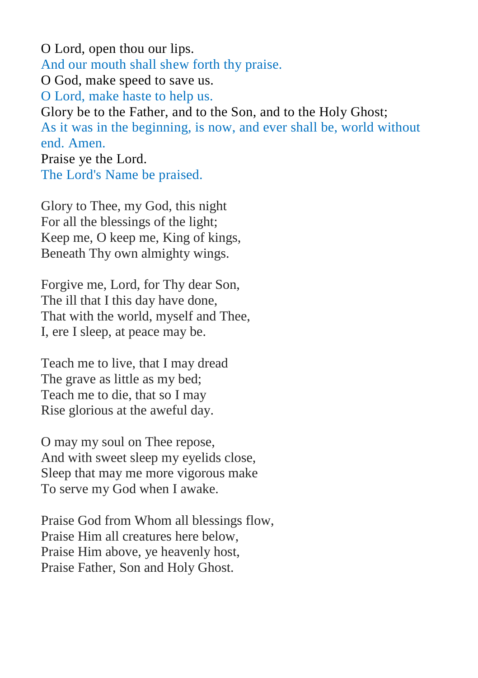O Lord, open thou our lips. And our mouth shall shew forth thy praise. O God, make speed to save us. O Lord, make haste to help us. Glory be to the Father, and to the Son, and to the Holy Ghost; As it was in the beginning, is now, and ever shall be, world without end. Amen. Praise ye the Lord. The Lord's Name be praised.

Glory to Thee, my God, this night For all the blessings of the light; Keep me, O keep me, King of kings, Beneath Thy own almighty wings.

Forgive me, Lord, for Thy dear Son, The ill that I this day have done, That with the world, myself and Thee, I, ere I sleep, at peace may be.

Teach me to live, that I may dread The grave as little as my bed; Teach me to die, that so I may Rise glorious at the aweful day.

O may my soul on Thee repose, And with sweet sleep my eyelids close, Sleep that may me more vigorous make To serve my God when I awake.

Praise God from Whom all blessings flow, Praise Him all creatures here below, Praise Him above, ye heavenly host, Praise Father, Son and Holy Ghost.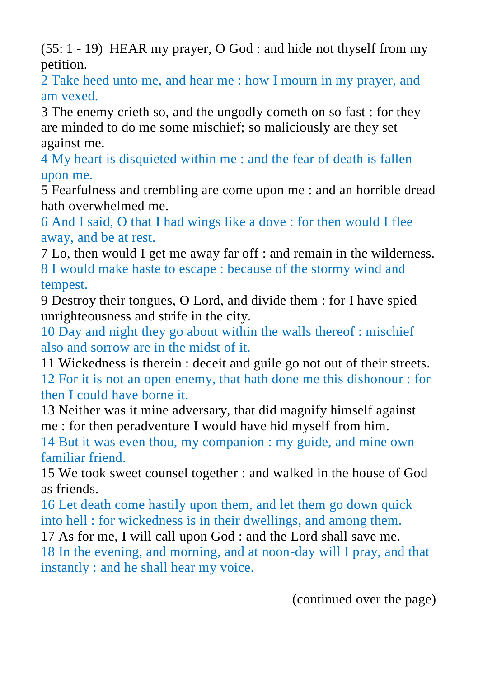(55: 1 - 19) HEAR my prayer, O God : and hide not thyself from my petition.

2 Take heed unto me, and hear me : how I mourn in my prayer, and am vexed.

3 The enemy crieth so, and the ungodly cometh on so fast : for they are minded to do me some mischief; so maliciously are they set against me.

4 My heart is disquieted within me : and the fear of death is fallen upon me.

5 Fearfulness and trembling are come upon me : and an horrible dread hath overwhelmed me.

6 And I said, O that I had wings like a dove : for then would I flee away, and be at rest.

7 Lo, then would I get me away far off : and remain in the wilderness. 8 I would make haste to escape : because of the stormy wind and tempest.

9 Destroy their tongues, O Lord, and divide them : for I have spied unrighteousness and strife in the city.

10 Day and night they go about within the walls thereof : mischief also and sorrow are in the midst of it.

11 Wickedness is therein : deceit and guile go not out of their streets. 12 For it is not an open enemy, that hath done me this dishonour : for then I could have borne it.

13 Neither was it mine adversary, that did magnify himself against me : for then peradventure I would have hid myself from him.

14 But it was even thou, my companion : my guide, and mine own familiar friend.

15 We took sweet counsel together : and walked in the house of God as friends.

16 Let death come hastily upon them, and let them go down quick into hell : for wickedness is in their dwellings, and among them.

17 As for me, I will call upon God : and the Lord shall save me.

18 In the evening, and morning, and at noon-day will I pray, and that instantly : and he shall hear my voice.

(continued over the page)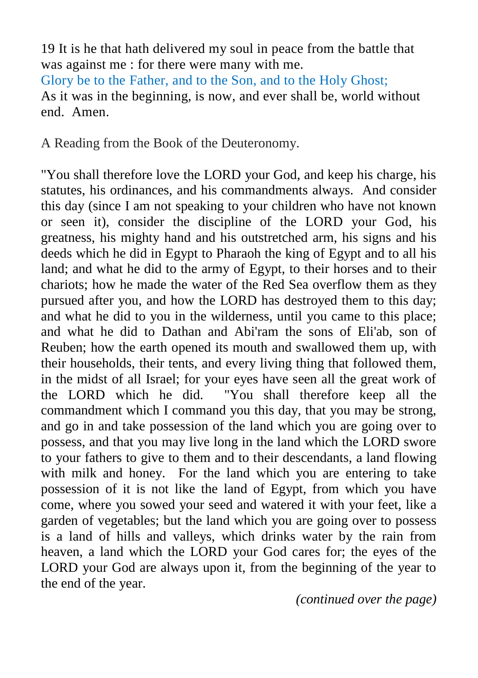19 It is he that hath delivered my soul in peace from the battle that was against me : for there were many with me. Glory be to the Father, and to the Son, and to the Holy Ghost;

As it was in the beginning, is now, and ever shall be, world without end. Amen.

A Reading from the Book of the Deuteronomy.

"You shall therefore love the LORD your God, and keep his charge, his statutes, his ordinances, and his commandments always. And consider this day (since I am not speaking to your children who have not known or seen it), consider the discipline of the LORD your God, his greatness, his mighty hand and his outstretched arm, his signs and his deeds which he did in Egypt to Pharaoh the king of Egypt and to all his land; and what he did to the army of Egypt, to their horses and to their chariots; how he made the water of the Red Sea overflow them as they pursued after you, and how the LORD has destroyed them to this day; and what he did to you in the wilderness, until you came to this place; and what he did to Dathan and Abi'ram the sons of Eli'ab, son of Reuben; how the earth opened its mouth and swallowed them up, with their households, their tents, and every living thing that followed them, in the midst of all Israel; for your eyes have seen all the great work of the LORD which he did. "You shall therefore keep all the commandment which I command you this day, that you may be strong, and go in and take possession of the land which you are going over to possess, and that you may live long in the land which the LORD swore to your fathers to give to them and to their descendants, a land flowing with milk and honey. For the land which you are entering to take possession of it is not like the land of Egypt, from which you have come, where you sowed your seed and watered it with your feet, like a garden of vegetables; but the land which you are going over to possess is a land of hills and valleys, which drinks water by the rain from heaven, a land which the LORD your God cares for; the eyes of the LORD your God are always upon it, from the beginning of the year to the end of the year.

*(continued over the page)*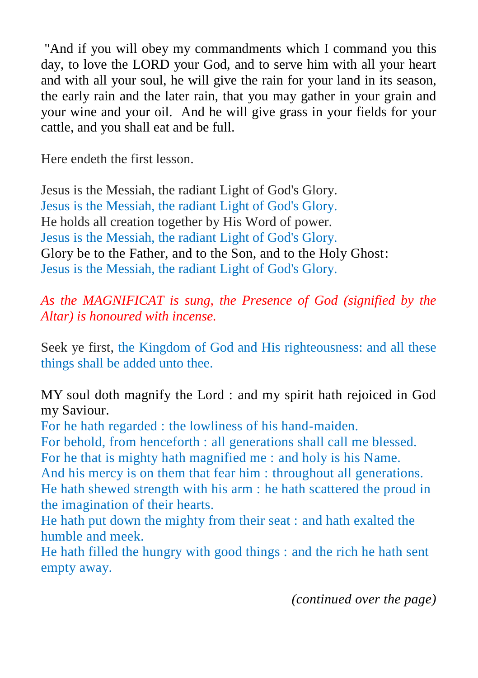"And if you will obey my commandments which I command you this day, to love the LORD your God, and to serve him with all your heart and with all your soul, he will give the rain for your land in its season, the early rain and the later rain, that you may gather in your grain and your wine and your oil. And he will give grass in your fields for your cattle, and you shall eat and be full.

Here endeth the first lesson.

Jesus is the Messiah, the radiant Light of God's Glory. Jesus is the Messiah, the radiant Light of God's Glory. He holds all creation together by His Word of power. Jesus is the Messiah, the radiant Light of God's Glory. Glory be to the Father, and to the Son, and to the Holy Ghost: Jesus is the Messiah, the radiant Light of God's Glory.

## *As the MAGNIFICAT is sung, the Presence of God (signified by the Altar) is honoured with incense.*

Seek ye first, the Kingdom of God and His righteousness: and all these things shall be added unto thee.

MY soul doth magnify the Lord : and my spirit hath rejoiced in God my Saviour.

For he hath regarded : the lowliness of his hand-maiden.

For behold, from henceforth : all generations shall call me blessed.

For he that is mighty hath magnified me : and holy is his Name.

And his mercy is on them that fear him : throughout all generations. He hath shewed strength with his arm : he hath scattered the proud in the imagination of their hearts.

He hath put down the mighty from their seat : and hath exalted the humble and meek.

He hath filled the hungry with good things : and the rich he hath sent empty away.

*(continued over the page)*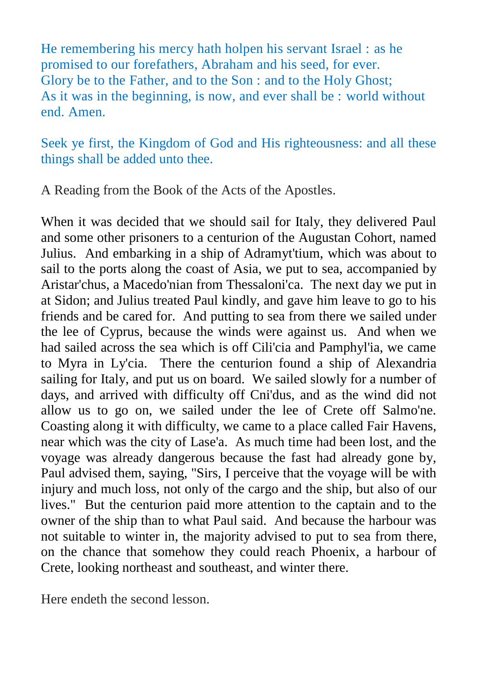He remembering his mercy hath holpen his servant Israel : as he promised to our forefathers, Abraham and his seed, for ever. Glory be to the Father, and to the Son : and to the Holy Ghost; As it was in the beginning, is now, and ever shall be : world without end. Amen.

Seek ye first, the Kingdom of God and His righteousness: and all these things shall be added unto thee.

A Reading from the Book of the Acts of the Apostles.

When it was decided that we should sail for Italy, they delivered Paul and some other prisoners to a centurion of the Augustan Cohort, named Julius. And embarking in a ship of Adramyt'tium, which was about to sail to the ports along the coast of Asia, we put to sea, accompanied by Aristar'chus, a Macedo'nian from Thessaloni'ca. The next day we put in at Sidon; and Julius treated Paul kindly, and gave him leave to go to his friends and be cared for. And putting to sea from there we sailed under the lee of Cyprus, because the winds were against us. And when we had sailed across the sea which is off Cili'cia and Pamphyl'ia, we came to Myra in Ly'cia. There the centurion found a ship of Alexandria sailing for Italy, and put us on board. We sailed slowly for a number of days, and arrived with difficulty off Cni'dus, and as the wind did not allow us to go on, we sailed under the lee of Crete off Salmo'ne. Coasting along it with difficulty, we came to a place called Fair Havens, near which was the city of Lase'a. As much time had been lost, and the voyage was already dangerous because the fast had already gone by, Paul advised them, saying, "Sirs, I perceive that the voyage will be with injury and much loss, not only of the cargo and the ship, but also of our lives." But the centurion paid more attention to the captain and to the owner of the ship than to what Paul said. And because the harbour was not suitable to winter in, the majority advised to put to sea from there, on the chance that somehow they could reach Phoenix, a harbour of Crete, looking northeast and southeast, and winter there.

Here endeth the second lesson.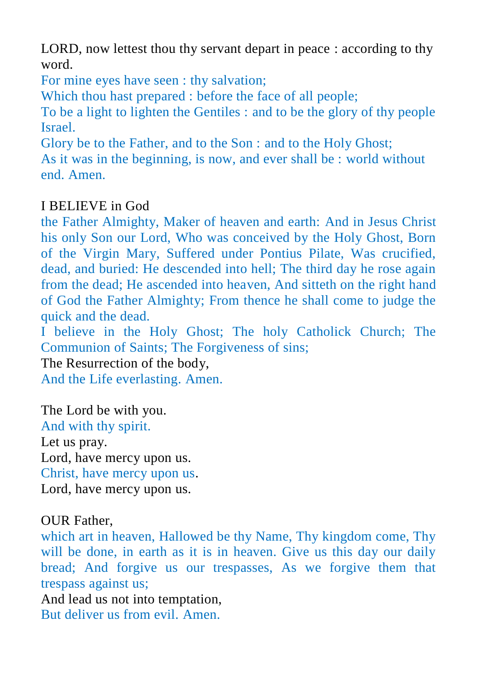LORD, now lettest thou thy servant depart in peace : according to thy word.

For mine eyes have seen : thy salvation:

Which thou hast prepared : before the face of all people;

To be a light to lighten the Gentiles : and to be the glory of thy people Israel.

Glory be to the Father, and to the Son : and to the Holy Ghost;

As it was in the beginning, is now, and ever shall be : world without end. Amen.

## I BELIEVE in God

the Father Almighty, Maker of heaven and earth: And in Jesus Christ his only Son our Lord, Who was conceived by the Holy Ghost, Born of the Virgin Mary, Suffered under Pontius Pilate, Was crucified, dead, and buried: He descended into hell; The third day he rose again from the dead; He ascended into heaven, And sitteth on the right hand of God the Father Almighty; From thence he shall come to judge the quick and the dead.

I believe in the Holy Ghost; The holy Catholick Church; The Communion of Saints; The Forgiveness of sins;

The Resurrection of the body, And the Life everlasting. Amen.

The Lord be with you. And with thy spirit. Let us pray. Lord, have mercy upon us. Christ, have mercy upon us. Lord, have mercy upon us.

### OUR Father,

which art in heaven, Hallowed be thy Name, Thy kingdom come, Thy will be done, in earth as it is in heaven. Give us this day our daily bread; And forgive us our trespasses, As we forgive them that trespass against us;

And lead us not into temptation, But deliver us from evil. Amen.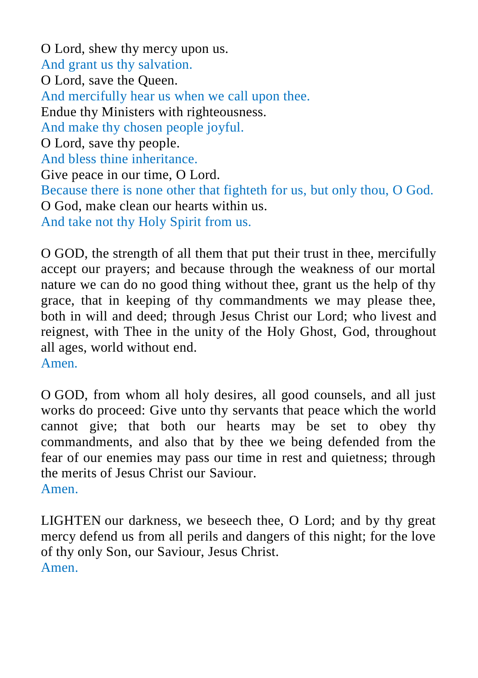O Lord, shew thy mercy upon us. And grant us thy salvation. O Lord, save the Queen. And mercifully hear us when we call upon thee. Endue thy Ministers with righteousness. And make thy chosen people joyful. O Lord, save thy people. And bless thine inheritance. Give peace in our time, O Lord. Because there is none other that fighteth for us, but only thou, O God. O God, make clean our hearts within us. And take not thy Holy Spirit from us.

O GOD, the strength of all them that put their trust in thee, mercifully accept our prayers; and because through the weakness of our mortal nature we can do no good thing without thee, grant us the help of thy grace, that in keeping of thy commandments we may please thee, both in will and deed; through Jesus Christ our Lord; who livest and reignest, with Thee in the unity of the Holy Ghost, God, throughout all ages, world without end. Amen.

O GOD, from whom all holy desires, all good counsels, and all just works do proceed: Give unto thy servants that peace which the world cannot give; that both our hearts may be set to obey thy commandments, and also that by thee we being defended from the fear of our enemies may pass our time in rest and quietness; through the merits of Jesus Christ our Saviour. Amen.

LIGHTEN our darkness, we beseech thee, O Lord; and by thy great mercy defend us from all perils and dangers of this night; for the love of thy only Son, our Saviour, Jesus Christ. Amen.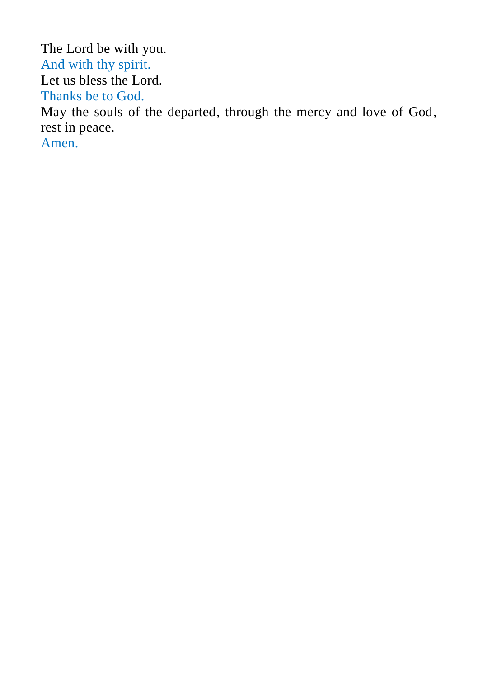The Lord be with you. And with thy spirit. Let us bless the Lord. Thanks be to God. May the souls of the departed, through the mercy and love of God, rest in peace. Amen.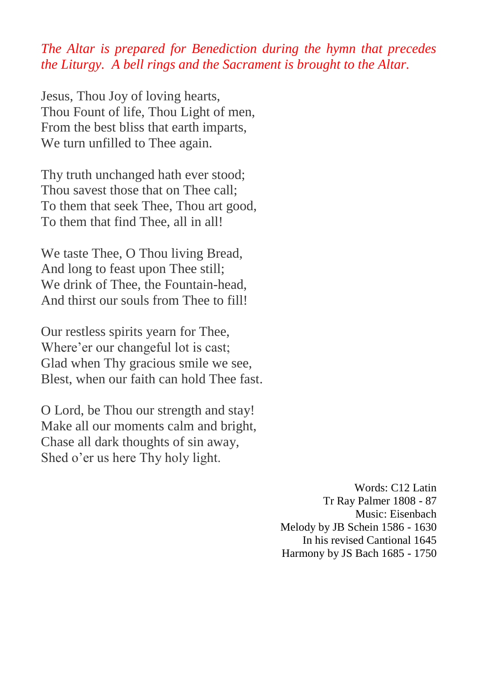## *The Altar is prepared for Benediction during the hymn that precedes the Liturgy. A bell rings and the Sacrament is brought to the Altar.*

Jesus, Thou Joy of loving hearts, Thou Fount of life, Thou Light of men, From the best bliss that earth imparts, We turn unfilled to Thee again.

Thy truth unchanged hath ever stood; Thou savest those that on Thee call; To them that seek Thee, Thou art good, To them that find Thee, all in all!

We taste Thee, O Thou living Bread, And long to feast upon Thee still; We drink of Thee, the Fountain-head, And thirst our souls from Thee to fill!

Our restless spirits yearn for Thee, Where'er our changeful lot is cast; Glad when Thy gracious smile we see, Blest, when our faith can hold Thee fast.

O Lord, be Thou our strength and stay! Make all our moments calm and bright, Chase all dark thoughts of sin away, Shed o'er us here Thy holy light.

> Words: C12 Latin Tr Ray Palmer 1808 - 87 Music: Eisenbach Melody by JB Schein 1586 - 1630 In his revised Cantional 1645 Harmony by JS Bach 1685 - 1750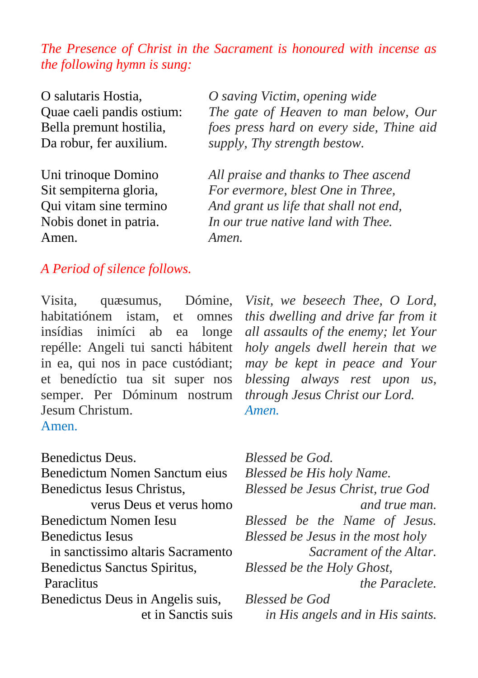*The Presence of Christ in the Sacrament is honoured with incense as the following hymn is sung:*

O salutaris Hostia, Quae caeli pandis ostium: Bella premunt hostilia, Da robur, fer auxilium.

Uni trinoque Domino Sit sempiterna gloria, Qui vitam sine termino Nobis donet in patria. Amen.

*O saving Victim, opening wide The gate of Heaven to man below, Our foes press hard on every side, Thine aid supply, Thy strength bestow.*

*All praise and thanks to Thee ascend For evermore, blest One in Three, And grant us life that shall not end, In our true native land with Thee. Amen.*

### *A Period of silence follows.*

Visita, quæsumus, Dómine, habitatiónem istam, et omnes insídias inimíci ab ea longe repélle: Angeli tui sancti hábitent in ea, qui nos in pace custódiant; et benedíctio tua sit super nos semper. Per Dóminum nostrum Jesum Christum. Amen.

Benedictus Deus. Benedictum Nomen Sanctum eius Benedictus Iesus Christus, verus Deus et verus homo Benedictum Nomen Iesu Benedictus Iesus in sanctissimo altaris Sacramento Benedictus Sanctus Spiritus, Paraclitus Benedictus Deus in Angelis suis, et in Sanctis suis

*Visit, we beseech Thee, O Lord, this dwelling and drive far from it all assaults of the enemy; let Your holy angels dwell herein that we may be kept in peace and Your blessing always rest upon us, through Jesus Christ our Lord. Amen.*

*Blessed be God. Blessed be His holy Name. Blessed be Jesus Christ, true God and true man. Blessed be the Name of Jesus. Blessed be Jesus in the most holy Sacrament of the Altar. Blessed be the Holy Ghost, the Paraclete. Blessed be God in His angels and in His saints.*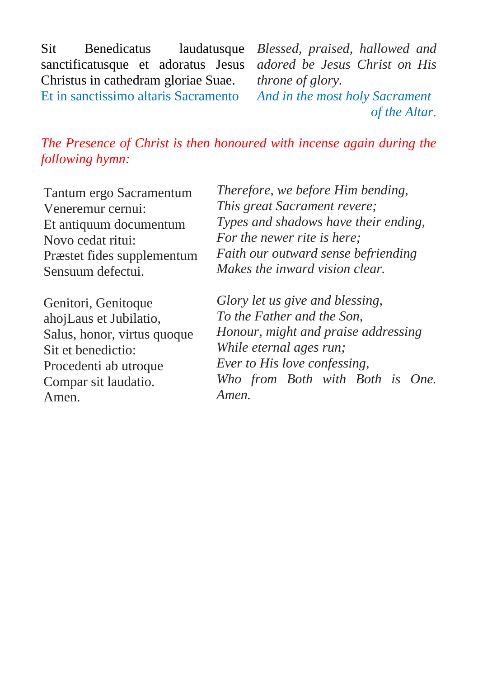Sit Benedicatus laudatusque sanctificatusque et adoratus Jesus Christus in cathedram gloriae Suae. Et in sanctissimo altaris Sacramento

*Blessed, praised, hallowed and adored be Jesus Christ on His throne of glory.* 

*And in the most holy Sacrament of the Altar.*

*The Presence of Christ is then honoured with incense again during the following hymn:*

Tantum ergo Sacramentum Veneremur cernui: Et antiquum documentum Novo cedat ritui: Præstet fides supplementum Sensuum defectui.

Genitori, Genitoque ahojLaus et Jubilatio, Salus, honor, virtus quoque Sit et benedictio: Procedenti ab utroque Compar sit laudatio. Amen.

*Therefore, we before Him bending, This great Sacrament revere; Types and shadows have their ending, For the newer rite is here; Faith our outward sense befriending Makes the inward vision clear.*

*Glory let us give and blessing, To the Father and the Son, Honour, might and praise addressing While eternal ages run; Ever to His love confessing, Who from Both with Both is One. Amen.*